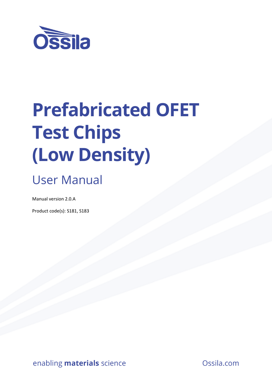

# **Prefabricated OFET Test Chips (Low Density)**

# User Manual

Manual version 2.0.A

Product code(s): S181, S183

enabling **materials** science **Constanting materials** science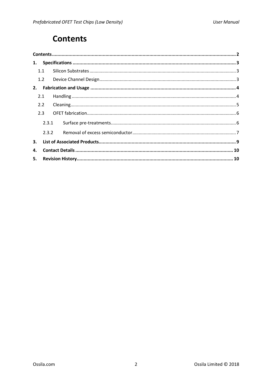# **Contents**

| 1.  |       |  |  |  |  |  |
|-----|-------|--|--|--|--|--|
|     | 1.1   |  |  |  |  |  |
|     | 1.2   |  |  |  |  |  |
| 2.  |       |  |  |  |  |  |
|     | 2.1   |  |  |  |  |  |
| 2.2 |       |  |  |  |  |  |
|     | 2.3   |  |  |  |  |  |
|     | 2.3.1 |  |  |  |  |  |
|     | 2.3.2 |  |  |  |  |  |
| 3.  |       |  |  |  |  |  |
| 4.  |       |  |  |  |  |  |
| 5.  |       |  |  |  |  |  |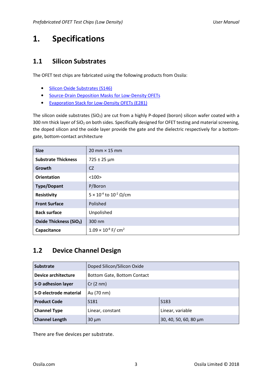# **1. Specifications**

#### **1.1 Silicon Substrates**

The OFET test chips are fabricated using the following products from Ossila:

- Silicon Oxide Substrates (S146)
- Source-Drain Deposition Masks for Low-Density OFETs
- Evaporation Stack for Low-Density OFETs (E281)

The silicon oxide substrates (SiO<sub>2</sub>) are cut from a highly P-doped (boron) silicon wafer coated with a 300 nm thick layer of SiO<sub>2</sub> on both sides. Specifically designed for OFET testing and material screening, the doped silicon and the oxide layer provide the gate and the dielectric respectively for a bottomgate, bottom-contact architecture

| <b>Size</b>                         | $20 \text{ mm} \times 15 \text{ mm}$     |
|-------------------------------------|------------------------------------------|
| <b>Substrate Thickness</b>          | $725 \pm 25 \,\mu m$                     |
| Growth                              | CZ                                       |
| <b>Orientation</b>                  | <100                                     |
| <b>Type/Dopant</b>                  | P/Boron                                  |
| <b>Resistivity</b>                  | $5 \times 10^{-4}$ to $10^{-2}$ Ω/cm     |
| <b>Front Surface</b>                | Polished                                 |
| <b>Back surface</b>                 | Unpolished                               |
| Oxide Thickness (SiO <sub>2</sub> ) | 300 nm                                   |
| Capacitance                         | $1.09 \times 10^{-8}$ F/ cm <sup>2</sup> |

#### **1.2 Device Channel Design**

| <b>Substrate</b>           | Doped Silicon/Silicon Oxide |                       |  |
|----------------------------|-----------------------------|-----------------------|--|
| <b>Device architecture</b> | Bottom Gate, Bottom Contact |                       |  |
| <b>S-D adhesion layer</b>  | Cr(2 nm)                    |                       |  |
| S-D electrode material     | Au (70 nm)                  |                       |  |
| <b>Product Code</b>        | S <sub>181</sub>            | S <sub>183</sub>      |  |
| <b>Channel Type</b>        | Linear, constant            | Linear, variable      |  |
| <b>Channel Length</b>      | $30 \mu m$                  | 30, 40, 50, 60, 80 µm |  |

There are five devices per substrate.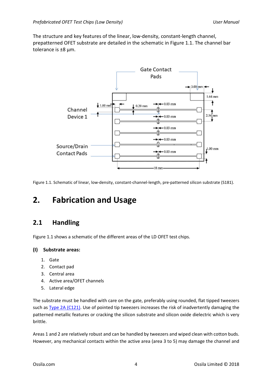The structure and key features of the linear, low-density, constant-length channel, prepatterned OFET substrate are detailed in the schematic in Figure 1.1. The channel bar tolerance is ±8 μm.



Figure 1.1. Schematic of linear, low-density, constant-channel-length, pre-patterned silicon substrate (S181).

# **2. Fabrication and Usage**

#### **2.1 Handling**

Figure 1.1 shows a schematic of the different areas of the LD OFET test chips.

#### **(I) Substrate areas:**

- 1. Gate
- 2. Contact pad
- 3. Central area
- 4. Active area/OFET channels
- 5. Lateral edge

The substrate must be handled with care on the gate, preferably using rounded, flat tipped tweezers such as Type 2A (C121). Use of pointed tip tweezers increases the risk of inadvertently damaging the patterned metallic features or cracking the silicon substrate and silicon oxide dielectric which is very brittle.

Areas 1 and 2 are relatively robust and can be handled by tweezers and wiped clean with cotton buds. However, any mechanical contacts within the active area (area 3 to 5) may damage the channel and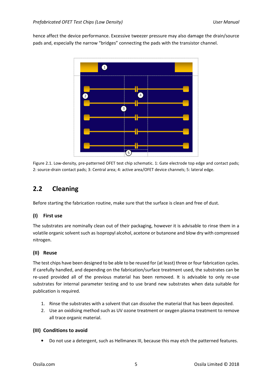hence affect the device performance. Excessive tweezer pressure may also damage the drain/source pads and, especially the narrow "bridges" connecting the pads with the transistor channel.



Figure 2.1. Low-density, pre-patterned OFET test chip schematic. 1: Gate electrode top edge and contact pads; 2: source-drain contact pads; 3: Central area; 4: active area/OFET device channels; 5: lateral edge.

#### **2.2 Cleaning**

Before starting the fabrication routine, make sure that the surface is clean and free of dust.

#### **(I) First use**

The substrates are nominally clean out of their packaging, however it is advisable to rinse them in a volatile organic solvent such as Isopropyl alcohol, acetone or butanone and blow dry with compressed nitrogen.

#### **(II) Reuse**

The test chips have been designed to be able to be reused for (at least) three or four fabrication cycles. If carefully handled, and depending on the fabrication/surface treatment used, the substrates can be re-used provided all of the previous material has been removed. It is advisable to only re-use substrates for internal parameter testing and to use brand new substrates when data suitable for publication is required.

- 1. Rinse the substrates with a solvent that can dissolve the material that has been deposited.
- 2. Use an oxidising method such as UV ozone treatment or oxygen plasma treatment to remove all trace organic material.

#### **(III) Conditions to avoid**

• Do not use a detergent, such as Hellmanex III, because this may etch the patterned features.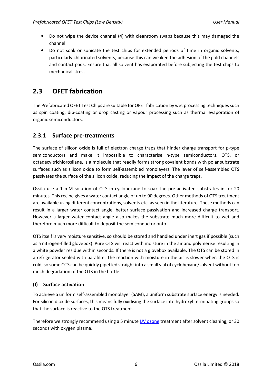- Do not wipe the device channel (4) with cleanroom swabs because this may damaged the channel.
- Do not soak or sonicate the test chips for extended periods of time in organic solvents, particularly chlorinated solvents, because this can weaken the adhesion of the gold channels and contact pads. Ensure that all solvent has evaporated before subjecting the test chips to mechanical stress.

#### **2.3 OFET fabrication**

The Prefabricated OFET Test Chips are suitable for OFET fabrication by wet processing techniques such as spin coating, dip-coating or drop casting or vapour processing such as thermal evaporation of organic semiconductors.

#### **2.3.1 Surface pre-treatments**

The surface of silicon oxide is full of electron charge traps that hinder charge transport for p-type semiconductors and make it impossible to characterise n-type semiconductors. OTS, or octadecyltrichlorosilane, is a molecule that readily forms strong covalent bonds with polar substrate surfaces such as silicon oxide to form self-assembled monolayers. The layer of self-assembled OTS passivates the surface of the silicon oxide, reducing the impact of the charge traps.

Ossila use a 1 mM solution of OTS in cyclohexane to soak the pre-activated substrates in for 20 minutes. This recipe gives a water contact angle of up to 90 degrees. Other methods of OTS treatment are available using different concentrations, solvents etc. as seen in the literature. These methods can result in a larger water contact angle, better surface passivation and increased charge transport. However a larger water contact angle also makes the substrate much more difficult to wet and therefore much more difficult to deposit the semiconductor onto.

OTS itself is very moisture sensitive, so should be stored and handled under inert gas if possible (such as a nitrogen-filled glovebox). Pure OTS will react with moisture in the air and polymerise resulting in a white powder residue within seconds. If there is not a glovebox available, The OTS can be stored in a refrigerator sealed with parafilm. The reaction with moisture in the air is slower when the OTS is cold, so some OTS can be quickly pipetted straight into a small vial of cyclohexane/solvent without too much degradation of the OTS in the bottle.

#### **(I) Surface activation**

To achieve a uniform self-assembled monolayer (SAM), a uniform substrate surface energy is needed. For silicon dioxide surfaces, this means fully oxidising the surface into hydroxyl terminating groups so that the surface is reactive to the OTS treatment.

Therefore we strongly recommend using a 5 minute **UV ozone** treatment after solvent cleaning, or 30 seconds with oxygen plasma.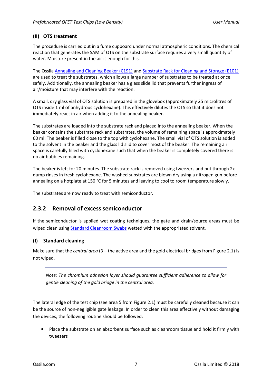#### **(II) OTS treatment**

The procedure is carried out in a fume cupboard under normal atmospheric conditions. The chemical reaction that generates the SAM of OTS on the substrate surface requires a very small quantity of water. Moisture present in the air is enough for this.

The Ossila Annealing and Cleaning Beaker (C191) and Substrate Rack for Cleaning and Storage (E101) are used to treat the substrates, which allows a large number of substrates to be treated at once, safely. Additionally, the annealing beaker has a glass slide lid that prevents further ingress of air/moisture that may interfere with the reaction.

A small, dry glass vial of OTS solution is prepared in the glovebox (approximately 25 microlitres of OTS inside 1 ml of anhydrous cyclohexane). This effectively dilutes the OTS so that it does not immediately react in air when adding it to the annealing beaker.

The substrates are loaded into the substrate rack and placed into the annealing beaker. When the beaker contains the substrate rack and substrates, the volume of remaining space is approximately 60 ml. The beaker is filled close to the top with cyclohexane. The small vial of OTS solution is added to the solvent in the beaker and the glass lid slid to cover most of the beaker. The remaining air space is carefully filled with cyclohexane such that when the beaker is completely covered there is no air bubbles remaining.

The beaker is left for 20 minutes. The substrate rack is removed using tweezers and put through  $2x$ dump rinses in fresh cyclohexane. The washed substrates are blown dry using a nitrogen gun before annealing on a hotplate at 150 °C for 5 minutes and leaving to cool to room temperature slowly.

The substrates are now ready to treat with semiconductor.

#### **2.3.2 Removal of excess semiconductor**

If the semiconductor is applied wet coating techniques, the gate and drain/source areas must be wiped clean using Standard Cleanroom Swabs wetted with the appropriated solvent.

#### **(I) Standard cleaning**

Make sure that the *central area* (3 – the active area and the gold electrical bridges from Figure 2.1) is not wiped.

*Note: The chromium adhesion layer should guarantee sufficient adherence to allow for gentle cleaning of the gold bridge in the central area.* 

The lateral edge of the test chip (see area 5 from Figure 2.1) must be carefully cleaned because it can be the source of non-negligible gate leakage. In order to clean this area effectively without damaging the devices, the following routine should be followed:

• Place the substrate on an absorbent surface such as cleanroom tissue and hold it firmly with tweezers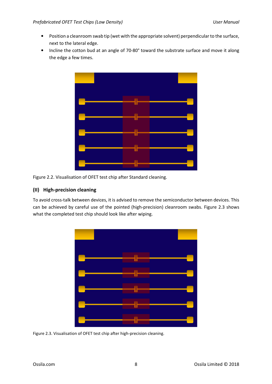- Position a cleanroom swab tip (wet with the appropriate solvent) perpendicular to the surface, next to the lateral edge.
- Incline the cotton bud at an angle of 70-80° toward the substrate surface and move it along the edge a few times.





#### **(II) High-precision cleaning**

To avoid cross-talk between devices, it is advised to remove the semiconductor between devices. This can be achieved by careful use of the pointed (high-precision) cleanroom swabs. Figure 2.3 shows what the completed test chip should look like after wiping.



Figure 2.3. Visualisation of OFET test chip after high-precision cleaning.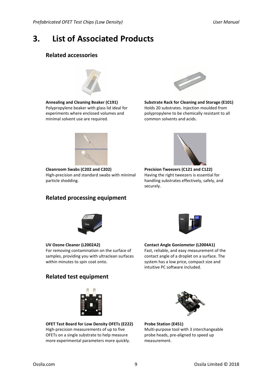## **3. List of Associated Products**

#### **Related accessories**



**Annealing and Cleaning Beaker (C191)**  Polypropylene beaker with glass lid ideal for experiments where enclosed volumes and minimal solvent use are required.



**Substrate Rack for Cleaning and Storage (E101)** Holds 20 substrates. Injection moulded from polypropylene to be chemically resistant to all common solvents and acids.



**Cleanroom Swabs (C202 and C202)** High-precision and standard swabs with minimal particle shedding.

#### **Related processing equipment**



**Precision Tweezers (C121 and C122)** Having the right tweezers is essential for handling substrates effectively, safely, and securely.



For removing contamination on the surface of samples, providing you with ultraclean surfaces



**Contact Angle Goniometer (L2004A1)** Fast, reliable, and easy measurement of the contact angle of a droplet on a surface. The system has a low price, compact size and intuitive PC software included.

#### **Related test equipment**

within minutes to spin coat onto.

**UV Ozone Cleaner (L2002A2)**



**OFET Test Board for Low Density OFETs (E222)**  High-precision measurements of up to five OFETs on a single substrate to help measure more experimental parameters more quickly.



**Probe Station (E451)** Multi-purpose tool with 3 interchangeable probe heads, pre-aligned to speed up measurement.